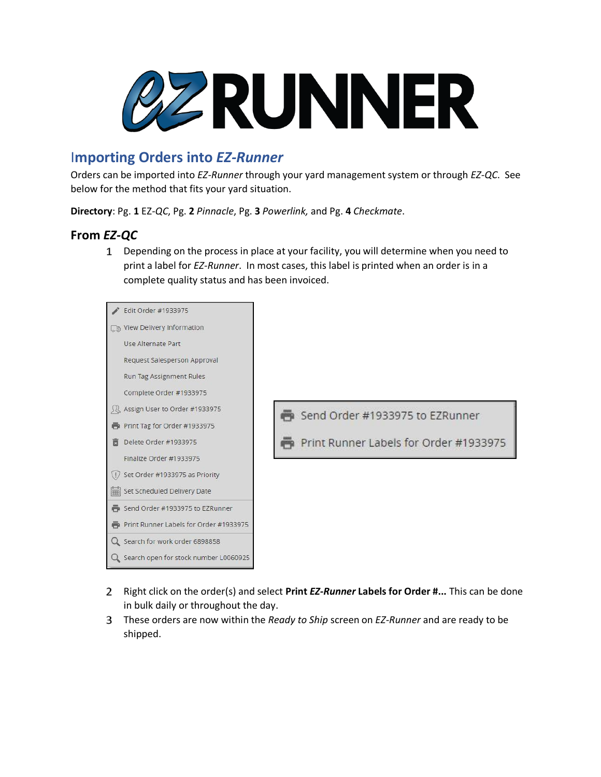

# I**mporting Orders into** *EZ-Runner*

Orders can be imported into *EZ-Runner* through your yard management system or through *EZ-QC*. See below for the method that fits your yard situation.

**Directory**: Pg. **1** EZ*-QC*, Pg. **2** *Pinnacle*, Pg. **3** *Powerlink,* and Pg. **4** *Checkmate*.

#### **From** *EZ-QC*

Depending on the process in place at your facility, you will determine when you need to print a label for *EZ-Runner*. In most cases, this label is printed when an order is in a complete quality status and has been invoiced.



- Right click on the order(s) and select **Print** *EZ-Runner* **Labels for Order #...** This can be done in bulk daily or throughout the day.
- These orders are now within the *Ready to Ship* screen on *EZ-Runner* and are ready to be shipped.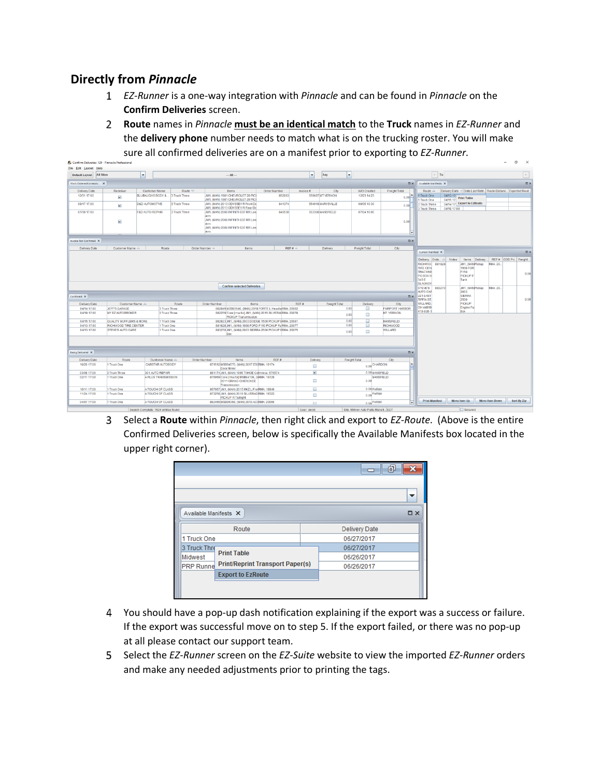### **Directly from** *Pinnacle*

P. Confirm Deliveries: 129 - Pinnacl

- *EZ-Runner* is a one-way integration with *Pinnacle* and can be found in *Pinnacle* on the **Confirm Deliveries** screen.
- **Route** names in *Pinnacle* **must be an identical match** to the **Truck** names in *EZ-Runner* and the **delivery phone** number needs to match what is on the trucking roster. You will make sure all confirmed deliveries are on a manifest prior to exporting to *EZ-Runner*.  $\theta$   $\times$

| File Edit Layout Help    |                                                                                                                                                                  |                                                                                                           |                           |              |                                                                         |                                                                                        |      |                       |               |                                      |                                   |                                                  |                                   |                            |                                                                    |                 |                       |
|--------------------------|------------------------------------------------------------------------------------------------------------------------------------------------------------------|-----------------------------------------------------------------------------------------------------------|---------------------------|--------------|-------------------------------------------------------------------------|----------------------------------------------------------------------------------------|------|-----------------------|---------------|--------------------------------------|-----------------------------------|--------------------------------------------------|-----------------------------------|----------------------------|--------------------------------------------------------------------|-----------------|-----------------------|
| Default Layout All Sites |                                                                                                                                                                  | l vi                                                                                                      |                           |              |                                                                         | $-$ All $-$                                                                            |      | ×                     | Any           | ×                                    |                                   |                                                  | $\vee$ To                         |                            |                                                                    |                 | $\mathbf{v}$          |
| Work Ordered/Unresolv X  |                                                                                                                                                                  |                                                                                                           |                           |              |                                                                         |                                                                                        |      |                       |               |                                      |                                   | D X Avaiable Manifests X                         |                                   |                            |                                                                    |                 | $\square$ $\times$    |
| Delivery Date            | Redeliver                                                                                                                                                        | Order Number<br><b>Customer Name</b><br>Route $\nabla$<br>Items                                           |                           |              |                                                                         |                                                                                        |      |                       | City          | W/O Created                          | Freight Total                     | Route $\triangle$                                |                                   |                            | Delivery Date <a> Data Last Retri Route Distanc Expected Rout.</a> |                 |                       |
| 12/31 17:00              | $\mathbf{r}$                                                                                                                                                     | 3 Truck Three<br>JM1, (MAN) 1981 CHEVROLET 20 PIC<br>BLUBAUGHS BODY &<br>JM1, (MAN) 1981 CHEVROLET 20 PIC |                           |              |                                                                         | 852063                                                                                 |      | 559697 MT VERNON      | 12/23 14:23   | $_{0.00}$                            | 1 Truck One<br>1 Truck One        |                                                  | 04/13 17:<br>04/15 17 Print Table |                            |                                                                    |                 |                       |
| 08/17 17:00              | <b>D&amp;D AUTOMOTIVE</b><br>3 Truck Three<br>$\mathbf{r}$                                                                                                       |                                                                                                           |                           |              | JM1, (MAN) 2013 ODYSSEY R Front Do<br>JM1, (MAN) 2013 ODYSSEY R Rear Dd | 841374                                                                                 |      | 554018 MARYSVILLE     | 08/05 10:30   | 0.00                                 | 3 Truck Three<br>3 Truck Three    |                                                  | 04/18 17:00                       | 04/14 17 Export to EzRoute |                                                                    |                 |                       |
| 07/30 17:00              | <b>F&amp;D AUTO REPAIR</b>                                                                                                                                       |                                                                                                           | 3 Truck Three             | Arm          | JM1, (MAN) 2008 INFINITI G37 RR Low                                     | 840530                                                                                 |      | 553308 MANSFIELD      | 07/24 16:05   |                                      |                                   |                                                  |                                   |                            |                                                                    |                 |                       |
|                          | $\overline{\mathbf{r}}$                                                                                                                                          |                                                                                                           |                           |              | Arm                                                                     | JM1, (MAN) 2008 INFINITI G37 RR Low                                                    |      |                       |               |                                      | 0.00                              |                                                  |                                   |                            |                                                                    |                 |                       |
|                          |                                                                                                                                                                  |                                                                                                           |                           |              | Arm                                                                     | JM1, (MAN) 2008 INFINITI G37 RR Low                                                    |      |                       |               |                                      | ۰                                 |                                                  |                                   |                            |                                                                    |                 |                       |
| Invoice Not Confirmed X  |                                                                                                                                                                  |                                                                                                           |                           |              |                                                                         |                                                                                        |      |                       |               |                                      | $D \times$                        |                                                  |                                   |                            |                                                                    |                 |                       |
| Delivery Date            | Customer Name $\triangle$                                                                                                                                        |                                                                                                           | Route                     |              | Order Number $\triangleq$                                               | Items                                                                                  |      | REFB                  | Delivery      | Freight Total                        | City                              |                                                  |                                   |                            |                                                                    |                 |                       |
|                          |                                                                                                                                                                  |                                                                                                           |                           |              |                                                                         |                                                                                        |      |                       |               |                                      |                                   | Current Manifest X                               |                                   |                            |                                                                    |                 | <b>Dx</b>             |
|                          |                                                                                                                                                                  |                                                                                                           |                           |              |                                                                         |                                                                                        |      |                       |               |                                      |                                   | RICHWOO 881828                                   |                                   | Delivery Orde A Notes      | Items Delivery.<br>JM1. (MANPIckup                                 | <b>RMA: 20.</b> | REF # COD Pri Freight |
|                          |                                                                                                                                                                  |                                                                                                           |                           |              |                                                                         |                                                                                        |      |                       |               |                                      |                                   | <b>TIRE CEN</b>                                  |                                   |                            | <b>1998 FOR</b>                                                    |                 |                       |
|                          |                                                                                                                                                                  |                                                                                                           |                           |              |                                                                         |                                                                                        |      |                       |               |                                      |                                   | <b>TRACY/KE</b><br>PO BOX 6                      |                                   |                            | F150<br>PICKUP F                                                   |                 | 0.00                  |
|                          |                                                                                                                                                                  |                                                                                                           |                           |              |                                                                         |                                                                                        |      |                       |               |                                      |                                   | 343 E<br><b>BLAGROV</b>                          |                                   |                            | Tank                                                               |                 |                       |
|                          |                                                                                                                                                                  |                                                                                                           |                           |              |                                                                         | <b>Confirm selected Deliveries</b>                                                     |      |                       |               |                                      |                                   | <b>STEVE'S</b>                                   | 883270                            |                            | JM1. (MANPIckup                                                    | <b>RIJA: 20</b> |                       |
| Confirmed X              |                                                                                                                                                                  |                                                                                                           |                           |              |                                                                         |                                                                                        |      |                       |               |                                      | <b>Dx</b>                         | <b>AUTO CAF</b><br>221 EAST<br><b>TIFFIN ST.</b> |                                   |                            | 2003<br><b>SIERRA</b><br>2500                                      |                 | 0.00                  |
| Delivery Date            | Customer Name $\triangle$                                                                                                                                        |                                                                                                           |                           | Route        | Order Number                                                            | <b>Items</b>                                                                           |      | REF #                 | Freight Total | <b>Delivery</b>                      | City                              | WILLARD.                                         |                                   |                            | PICKUP                                                             |                 |                       |
| 04/14 17:00              | JEFF'S GARAGE                                                                                                                                                    |                                                                                                           | 3 Truck Three             |              |                                                                         | 882849 MSB95540, (MAN) 2018 FORTE L Headla RMA: 20082                                  |      |                       |               | 0.00<br>$\Box$                       | <b>FAIRPORT HARBOR</b>            | OH 44890<br>419-935-1                            |                                   |                            | Engine Fu<br>Box                                                   |                 |                       |
| 04/18 17:00              | <b>MY EZ AUTOBROKER</b>                                                                                                                                          |                                                                                                           | 3 Truck Three             |              |                                                                         | 882259 Core [rma.for] JM1, (MAN) 2015 SILVERA[RMA: 20078<br><b>PICKUP Transmission</b> |      |                       |               | $\Box$<br>0.00                       | <b>MT. VERNON</b>                 |                                                  |                                   |                            |                                                                    |                 |                       |
| 04/15 17:00              | QUALITY MUFFLERS & MORE                                                                                                                                          |                                                                                                           | 1 Truck One               |              |                                                                         | 882823 JM1. (MAN) 2003 DODGE 1500 PICKUP ERMA: 20081                                   |      |                       |               | Ξ<br>0.00                            | <b>MANSFIELD</b>                  |                                                  |                                   |                            |                                                                    |                 |                       |
| 04/13 17:00              | RICHWOOD TIRE CENTER                                                                                                                                             |                                                                                                           | 1 Truck One               |              |                                                                         | 881828UM1, (MAN) 1998 FORD F150 PICKUP Fu RMA: 20077                                   |      |                       |               | 0.00<br>⊟                            | <b>RICHWOOD</b><br><b>WILLARD</b> |                                                  |                                   |                            |                                                                    |                 |                       |
| 04/13 17:00              | <b>STEVE'S AUTO CARE</b>                                                                                                                                         |                                                                                                           | 1 Truck One               |              |                                                                         | 883270 JM1, (MAN) 2003 SIERRA 2500 PICKUP ERMA: 20075<br>Box                           |      |                       |               | $\Box$<br>0.00                       |                                   |                                                  |                                   |                            |                                                                    |                 |                       |
|                          |                                                                                                                                                                  |                                                                                                           |                           |              |                                                                         |                                                                                        |      |                       |               |                                      |                                   |                                                  |                                   |                            |                                                                    |                 |                       |
| Being Delivered X        |                                                                                                                                                                  |                                                                                                           |                           |              |                                                                         |                                                                                        |      |                       |               |                                      | <b>DX</b>                         |                                                  |                                   |                            |                                                                    |                 |                       |
| Delivery Date            | Route                                                                                                                                                            |                                                                                                           | Customer Name $\triangle$ | Order Number |                                                                         | Items                                                                                  | REFM | Delivery              |               | <b>Freight Total</b>                 | City                              |                                                  |                                   |                            |                                                                    |                 |                       |
| 10/20 17:00              | 1 Truck One                                                                                                                                                      |                                                                                                           | CARSTAR AUTOBODY          |              |                                                                         | 871512 MSB94570, (MAN) 2017 ES(RMA: 19174<br>Door Mirror                               |      | $\qquad \qquad \Box$  |               |                                      | 0.00 CHARDON                      |                                                  |                                   |                            |                                                                    |                 |                       |
| 03/08 17:00              | 3 Truck Three                                                                                                                                                    |                                                                                                           | 301 AUTO REPAIR           |              |                                                                         | 881174 JM1, (MAN) 1995 TAHOE Colmvoice: 576574                                         |      | $\blacktriangleright$ |               |                                      | 0.00 MANSFIELD                    |                                                  |                                   |                            |                                                                    |                 |                       |
| 02/11 17:00              | 1 Truck One<br>A PLUS TRANSMISSION<br>876069 Core [rma.for] MSB94139, (NRMA: 19729)<br><b>MANSFIELD</b><br>$\Box$<br>0.00<br>2011 GRAND CHEROKEE<br>Transmission |                                                                                                           |                           |              |                                                                         |                                                                                        |      |                       |               |                                      |                                   |                                                  |                                   |                            |                                                                    |                 |                       |
| 10/11 17:00              | 1 Truck One                                                                                                                                                      |                                                                                                           | A TOUCH OF CLASS          |              |                                                                         | 867067 JM1, (MAN) 2015 MKZ L FronRMA: 18949                                            |      | ⊟                     |               | 0.00 PARMA                           |                                   |                                                  |                                   |                            |                                                                    |                 |                       |
| 11/24 17:00              | 1 Truck One                                                                                                                                                      | 873258 JM1, (MAN) 2018 SILVERAD RMA: 19322<br>A TOUCH OF CLASS<br><b>PICKUP R Taillight</b>               |                           |              |                                                                         |                                                                                        |      |                       |               | $0.00$ PARMA                         |                                   |                                                  |                                   |                            |                                                                    |                 |                       |
| 04/07 17:00              | 1 Truck One                                                                                                                                                      |                                                                                                           | A TOUCH OF CLASS          |              |                                                                         | 882466 MSB95368, (MAN) 2013 AC(RMA: 20066                                              |      | $\Box$                |               | 0.00 PARMA                           |                                   |                                                  | <b>Print Manifest</b>             | Move Item Up               |                                                                    | Move Item Down  | Sort By Zip           |
|                          |                                                                                                                                                                  | Search Complete: 1624 entries found                                                                       |                           |              |                                                                         |                                                                                        |      | User: derek           |               | Site: Milliron Auto Parts-Mansfi EDT |                                   |                                                  |                                   |                            | Secured                                                            |                 |                       |

Select a **Route** within *Pinnacle*, then right click and export to *EZ-Route*. (Above is the entire Confirmed Deliveries screen, below is specifically the Available Manifests box located in the upper right corner).

|                       |                                         | 卣                    |                          |  |  |  |  |
|-----------------------|-----------------------------------------|----------------------|--------------------------|--|--|--|--|
|                       |                                         |                      | $\overline{\phantom{a}}$ |  |  |  |  |
| Available Manifests X |                                         |                      | $\Box$ $\times$          |  |  |  |  |
|                       | Route                                   | <b>Delivery Date</b> |                          |  |  |  |  |
| 1 Truck One           |                                         | 06/27/2017           |                          |  |  |  |  |
| 3 Truck Thre          |                                         | 06/27/2017           |                          |  |  |  |  |
| Midwest               | <b>Print Table</b>                      | 06/26/2017           |                          |  |  |  |  |
| <b>PRP Runnel</b>     | <b>Print/Reprint Transport Paper(s)</b> | 06/26/2017           |                          |  |  |  |  |
|                       | <b>Export to EzRoute</b>                |                      |                          |  |  |  |  |
|                       |                                         |                      |                          |  |  |  |  |
|                       |                                         |                      |                          |  |  |  |  |

- You should have a pop-up dash notification explaining if the export was a success or failure. If the export was successful move on to step 5. If the export failed, or there was no pop-up at all please contact our support team.
- Select the *EZ-Runner* screen on the *EZ-Suite* website to view the imported *EZ-Runner* orders and make any needed adjustments prior to printing the tags.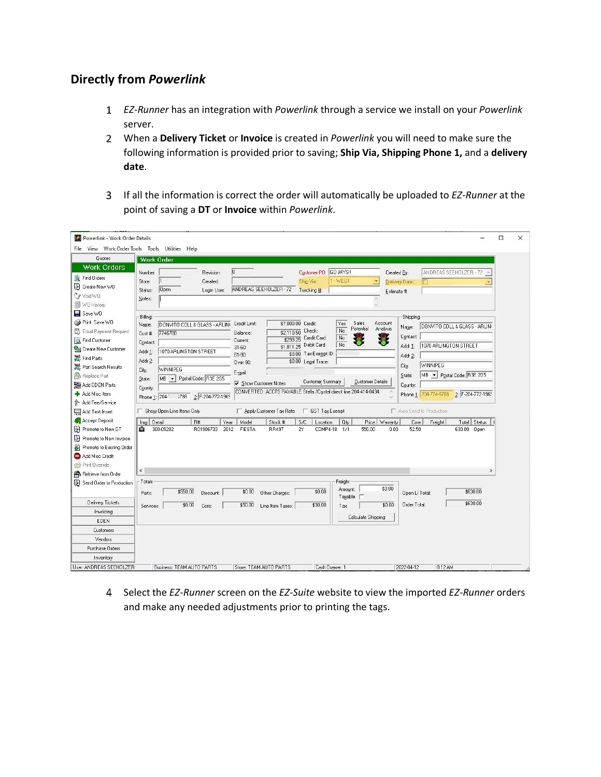## **Directly from** *Powerlink*

- *EZ-Runner* has an integration with *Powerlink* through a service we install on your *Powerlink* server.
- When a **Delivery Ticket** or **Invoice** is created in *Powerlink* you will need to make sure the following information is provided prior to saving; **Ship Via, Shipping Phone 1,** and a **delivery date**.
- If all the information is correct the order will automatically be uploaded to *EZ-Runner* at the point of saving a **DT** or **Invoice** within *Powerlink*.

| Powerlink - Work Order Details                                                                                                                                                                                                                                    | □<br>$\times$                                                                                                                                                                                                                                                                                                                                                                                                                                                                                                                                                                                                                                                                                                                                                                                                                                                                                                                                                                                                                                                                                              |
|-------------------------------------------------------------------------------------------------------------------------------------------------------------------------------------------------------------------------------------------------------------------|------------------------------------------------------------------------------------------------------------------------------------------------------------------------------------------------------------------------------------------------------------------------------------------------------------------------------------------------------------------------------------------------------------------------------------------------------------------------------------------------------------------------------------------------------------------------------------------------------------------------------------------------------------------------------------------------------------------------------------------------------------------------------------------------------------------------------------------------------------------------------------------------------------------------------------------------------------------------------------------------------------------------------------------------------------------------------------------------------------|
|                                                                                                                                                                                                                                                                   | File View Work Order Tools Tools Utilities Help                                                                                                                                                                                                                                                                                                                                                                                                                                                                                                                                                                                                                                                                                                                                                                                                                                                                                                                                                                                                                                                            |
| Quotes<br><b>Work Orders</b>                                                                                                                                                                                                                                      | <b>Work Order</b>                                                                                                                                                                                                                                                                                                                                                                                                                                                                                                                                                                                                                                                                                                                                                                                                                                                                                                                                                                                                                                                                                          |
| Find Orders<br>F Create New WO<br>Void WO<br><b>I</b> WO History                                                                                                                                                                                                  | $\overline{0}$<br>Customer PD: GO JAYS!<br>ANDREAS SEEHOLZER - 72<br>Number:<br>Revision:<br>Created By:<br>1-WEST<br>Ship Via:<br>Created:<br>Store:<br>Delivery Date:<br>ANDREAS SEEHOLZER - 72<br>Open<br>Tracking #:<br>Login User:<br>Status:<br>Estimate #:<br>Notes:<br>$\sim$<br>$\omega$                                                                                                                                                                                                                                                                                                                                                                                                                                                                                                                                                                                                                                                                                                                                                                                                          |
| $\blacksquare$ Save WO<br>Print Save WO<br><b>已</b> Email Payment Request<br><b>Ray Find Customer</b><br>Create New Customer<br>Find Parts<br>Part Search Results<br><b>Replace Part</b><br>Add EDEN Parts<br>Add Misc Item<br>Add Fee/Service<br>Add Text Insert | Billing:<br>Shipping:<br>Sales<br>\$7,000.00<br>Credit:<br>Account<br>Credit Limit:<br>Yes<br>DONVITO COLL & GLASS - ARLINI<br>Name:<br>DONVITO COLL & GLASS - ARLINI<br>Name:<br>Potential<br>Analysis<br>No<br>Check:<br>\$2,110.50<br>7746788<br>Balance:<br>Cust #:<br>Contact<br>No<br>Credit Card:<br>\$299.25<br><b>Current:</b><br>Contact:<br>No<br>Debit Card:<br>1070 ARLINGTON STREET<br>\$1,811.25<br>Addr 1:<br>$31 - 60$<br>1070 ARLINGTON STREET<br>Addr 1:<br>\$0.00 Tax-Exempt ID:<br>$61 - 90$<br>Addr 2:<br>Addr 2:<br>\$0.00 Legal Trace:<br>Over 90:<br><b>WINNIPEG</b><br>City:<br><b>WINNIPEG</b><br>City:<br>E-mail:<br>MB > Postal Code: R3E 2G5<br>State:<br>Postal Code: R3E 2G5<br>$MB$ $\rightarrow$<br>State:<br>Customer Summary<br>Customer Details<br>Show Customer Notes<br>County:<br>County:<br>CONVERTED: ACCTS PAYABLE Stella /Crystal direct line 204-414-0434.<br>2: F-204-772-1969<br>Phone 1: 204-774-6788<br>Phone 1: 204-1<br>3788<br>2 F-204-772-1969<br>Auto Send to Production<br>Show Open Line Items Only<br>Apply Customer Tax Rate<br>□ GST Tax Exempt |
| Accept Deposit<br>Promote to New DT<br>Promote to New Invoice<br>Promote to Existing Order<br>Add Misc Credit<br>Print Override                                                                                                                                   | Total Status   I<br>Img Detail<br>R#<br>Year<br>Model<br>Stock #<br>S/C<br>Price   Warranty<br>Location<br><b>Otv</b><br>Core<br>Freight<br>300-09202<br>52.50<br>٠<br>R01906733<br>2012<br>FIESTA<br><b>RR497</b><br>2Y<br>COMP4-18 1/1<br>550.00<br>0.00<br>630.00 Open                                                                                                                                                                                                                                                                                                                                                                                                                                                                                                                                                                                                                                                                                                                                                                                                                                  |
| Retrieve from Order<br>Send Order to Production<br>Delivery Tickets                                                                                                                                                                                               | $\left\langle \cdot \right\rangle$<br>$\rightarrow$<br>Freight<br>Totals<br>\$0.00<br>Amount:<br>\$0.00<br>\$630.00<br>\$550.00<br>\$0.00<br>Other Charges:<br>Parts:<br>Discount:<br>Open LI Total:<br>Taxable: I<br>\$630.00<br>\$30.00<br>\$0.00<br>Order Total:<br>\$0.00<br>\$50.00<br>Core:<br>Line Item Taxes:<br>Services:<br>Tax:                                                                                                                                                                                                                                                                                                                                                                                                                                                                                                                                                                                                                                                                                                                                                                 |
| Invoicing<br><b>EDEN</b><br>Customers<br>Vendors                                                                                                                                                                                                                  | Calculate Shipping                                                                                                                                                                                                                                                                                                                                                                                                                                                                                                                                                                                                                                                                                                                                                                                                                                                                                                                                                                                                                                                                                         |
| Purchase Orders<br>Inventory<br>User: ANDREAS SEEHOLZER                                                                                                                                                                                                           | Business: TEAM AUTO PARTS<br>Store: TEAM AUTO PARTS<br>Cash Drawer: 1<br>2022-04-12<br>8:12 AM                                                                                                                                                                                                                                                                                                                                                                                                                                                                                                                                                                                                                                                                                                                                                                                                                                                                                                                                                                                                             |

Select the *EZ-Runner* screen on the *EZ-Suite* website to view the imported *EZ-Runner* orders and make any needed adjustments prior to printing the tags.